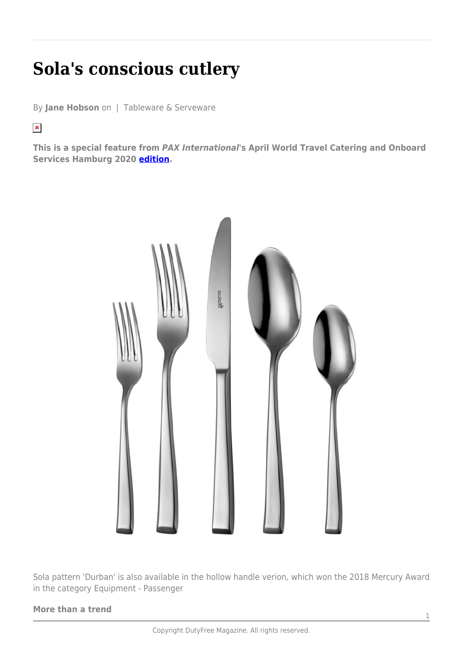## **Sola's conscious cutlery**

By **Jane Hobson** on | Tableware & Serveware

 $\pmb{\times}$ 

**This is a special feature from** *PAX International***'s April World Travel Catering and Onboard Services Hamburg 2020 [edition.](https://issuu.com/globalmarketingcompany/docs/pax_wtce_march2020-issuu?fr=sZjlhNDQ2NjE)**



Sola pattern 'Durban' is also available in the hollow handle verion, which won the 2018 Mercury Award in the category Equipment - Passenger

## **More than a trend**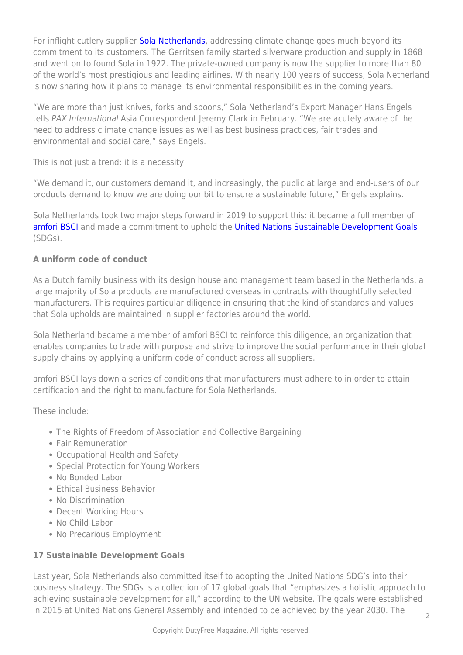For inflight cutlery supplier **Sola Netherlands**, addressing climate change goes much beyond its commitment to its customers. The Gerritsen family started silverware production and supply in 1868 and went on to found Sola in 1922. The private-owned company is now the supplier to more than 80 of the world's most prestigious and leading airlines. With nearly 100 years of success, Sola Netherland is now sharing how it plans to manage its environmental responsibilities in the coming years.

"We are more than just knives, forks and spoons," Sola Netherland's Export Manager Hans Engels tells PAX International Asia Correspondent Jeremy Clark in February. "We are acutely aware of the need to address climate change issues as well as best business practices, fair trades and environmental and social care," says Engels.

This is not just a trend; it is a necessity.

"We demand it, our customers demand it, and increasingly, the public at large and end-users of our products demand to know we are doing our bit to ensure a sustainable future," Engels explains.

Sola Netherlands took two major steps forward in 2019 to support this: it became a full member of [amfori BSCI](https://www.amfori.org/content/amfori-bsci) and made a commitment to uphold the [United Nations Sustainable Development Goals](https://www.un.org/development/desa/disabilities/envision2030.html) (SDGs).

## **A uniform code of conduct**

As a Dutch family business with its design house and management team based in the Netherlands, a large majority of Sola products are manufactured overseas in contracts with thoughtfully selected manufacturers. This requires particular diligence in ensuring that the kind of standards and values that Sola upholds are maintained in supplier factories around the world.

Sola Netherland became a member of amfori BSCI to reinforce this diligence, an organization that enables companies to trade with purpose and strive to improve the social performance in their global supply chains by applying a uniform code of conduct across all suppliers.

amfori BSCI lays down a series of conditions that manufacturers must adhere to in order to attain certification and the right to manufacture for Sola Netherlands.

These include:

- The Rights of Freedom of Association and Collective Bargaining
- Fair Remuneration
- Occupational Health and Safety
- Special Protection for Young Workers
- No Bonded Labor
- Ethical Business Behavior
- No Discrimination
- Decent Working Hours
- No Child Labor
- No Precarious Employment

## **17 Sustainable Development Goals**

Last year, Sola Netherlands also committed itself to adopting the United Nations SDG's into their business strategy. The SDGs is a collection of 17 global goals that "emphasizes a holistic approach to achieving sustainable development for all," according to the UN website. The goals were established in 2015 at United Nations General Assembly and intended to be achieved by the year 2030. The